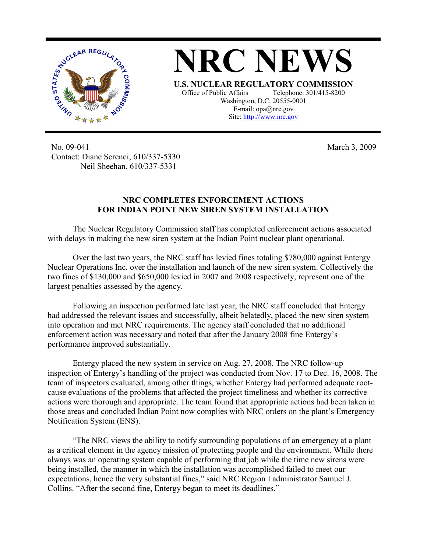



No. 09-041 Contact: Diane Screnci, 610/337-5330 Neil Sheehan, 610/337-5331

March 3, 2009

## **NRC COMPLETES ENFORCEMENT ACTIONS FOR INDIAN POINT NEW SIREN SYSTEM INSTALLATION**

The Nuclear Regulatory Commission staff has completed enforcement actions associated with delays in making the new siren system at the Indian Point nuclear plant operational.

Over the last two years, the NRC staff has levied fines totaling \$780,000 against Entergy Nuclear Operations Inc. over the installation and launch of the new siren system. Collectively the two fines of \$130,000 and \$650,000 levied in 2007 and 2008 respectively, represent one of the largest penalties assessed by the agency.

Following an inspection performed late last year, the NRC staff concluded that Entergy had addressed the relevant issues and successfully, albeit belatedly, placed the new siren system into operation and met NRC requirements. The agency staff concluded that no additional enforcement action was necessary and noted that after the January 2008 fine Entergy's performance improved substantially.

Entergy placed the new system in service on Aug. 27, 2008. The NRC follow-up inspection of Entergy's handling of the project was conducted from Nov. 17 to Dec. 16, 2008. The team of inspectors evaluated, among other things, whether Entergy had performed adequate rootcause evaluations of the problems that affected the project timeliness and whether its corrective actions were thorough and appropriate. The team found that appropriate actions had been taken in those areas and concluded Indian Point now complies with NRC orders on the plant's Emergency Notification System (ENS).

"The NRC views the ability to notify surrounding populations of an emergency at a plant as a critical element in the agency mission of protecting people and the environment. While there always was an operating system capable of performing that job while the time new sirens were being installed, the manner in which the installation was accomplished failed to meet our expectations, hence the very substantial fines," said NRC Region I administrator Samuel J. Collins. "After the second fine, Entergy began to meet its deadlines."